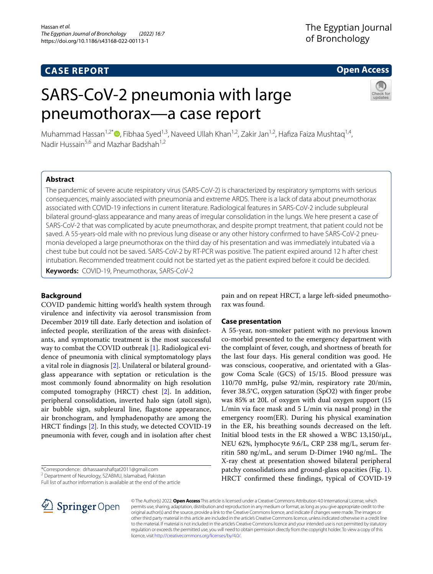# **CASE REPORT**

# **Open Access**

# SARS-CoV-2 pneumonia with large pneumothorax—a case report



Muhammad Hassan<sup>1,2\*</sup>  $\bullet$ [,](http://orcid.org/0000-0002-7375-8272) Fibhaa Syed<sup>1,3</sup>, Naveed Ullah Khan<sup>1,2</sup>, Zakir Jan<sup>1,2</sup>, Hafiza Faiza Mushtaq<sup>1,4</sup>, Nadir Hussain<sup>5,6</sup> and Mazhar Badshah<sup>1,2</sup>

# **Abstract**

The pandemic of severe acute respiratory virus (SARS-CoV-2) is characterized by respiratory symptoms with serious consequences, mainly associated with pneumonia and extreme ARDS. There is a lack of data about pneumothorax associated with COVID-19 infections in current literature. Radiological features in SARS-CoV-2 include subpleural bilateral ground-glass appearance and many areas of irregular consolidation in the lungs. We here present a case of SARS-CoV-2 that was complicated by acute pneumothorax, and despite prompt treatment, that patient could not be saved. A 55-years-old male with no previous lung disease or any other history confrmed to have SARS-CoV-2 pneumonia developed a large pneumothorax on the third day of his presentation and was immediately intubated via a chest tube but could not be saved. SARS-CoV-2 by RT-PCR was positive. The patient expired around 12 h after chest intubation. Recommended treatment could not be started yet as the patient expired before it could be decided.

**Keywords:** COVID-19, Pneumothorax, SARS-CoV-2

# **Background**

COVID pandemic hitting world's health system through virulence and infectivity via aerosol transmission from December 2019 till date. Early detection and isolation of infected people, sterilization of the areas with disinfectants, and symptomatic treatment is the most successful way to combat the COVID outbreak [[1\]](#page-2-0). Radiological evidence of pneumonia with clinical symptomatology plays a vital role in diagnosis [\[2](#page-2-1)]. Unilateral or bilateral groundglass appearance with septation or reticulation is the most commonly found abnormality on high resolution computed tomography (HRCT) chest [\[2](#page-2-1)]. In addition, peripheral consolidation, inverted halo sign (atoll sign), air bubble sign, subpleural line, fagstone appearance, air bronchogram, and lymphadenopathy are among the HRCT fndings [\[2\]](#page-2-1). In this study, we detected COVID-19 pneumonia with fever, cough and in isolation after chest

\*Correspondence: drhassaanshafqat2011@gmail.com

2 Department of Neurology, SZABMU, Islamabad, Pakistan

Full list of author information is available at the end of the article



pain and on repeat HRCT, a large left-sided pneumothorax was found.

# **Case presentation**

A 55-year, non-smoker patient with no previous known co-morbid presented to the emergency department with the complaint of fever, cough, and shortness of breath for the last four days. His general condition was good. He was conscious, cooperative, and orientated with a Glasgow Coma Scale (GCS) of 15/15. Blood pressure was 110/70 mmHg, pulse 92/min, respiratory rate 20/min, fever 38.5°C, oxygen saturation (SpO2) with fnger probe was 85% at 20L of oxygen with dual oxygen support (15 L/min via face mask and 5 L/min via nasal prong) in the emergency room(ER). During his physical examination in the ER, his breathing sounds decreased on the left. Initial blood tests in the ER showed a WBC 13,150/μL, NEU 62%, lymphocyte 9.6/L, CRP 238 mg/L, serum ferritin 580 ng/mL, and serum D-Dimer 1940 ng/mL. The X-ray chest at presentation showed bilateral peripheral patchy consolidations and ground-glass opacities (Fig. [1](#page-1-0)). HRCT confrmed these fndings, typical of COVID-19

© The Author(s) 2022. **Open Access** This article is licensed under a Creative Commons Attribution 4.0 International License, which permits use, sharing, adaptation, distribution and reproduction in any medium or format, as long as you give appropriate credit to the original author(s) and the source, provide a link to the Creative Commons licence, and indicate if changes were made. The images or other third party material in this article are included in the article's Creative Commons licence, unless indicated otherwise in a credit line to the material. If material is not included in the article's Creative Commons licence and your intended use is not permitted by statutory regulation or exceeds the permitted use, you will need to obtain permission directly from the copyright holder. To view a copy of this licence, visit [http://creativecommons.org/licenses/by/4.0/.](http://creativecommons.org/licenses/by/4.0/)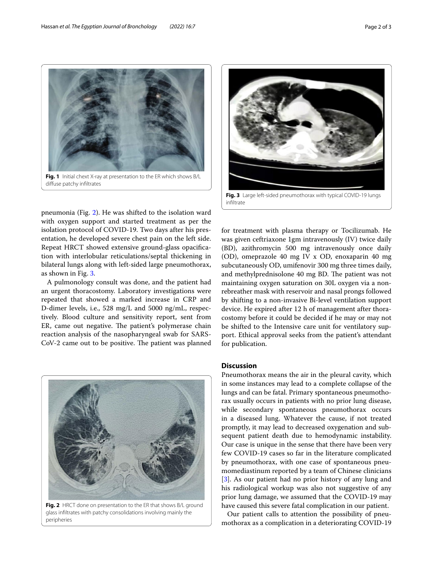

<span id="page-1-0"></span>pneumonia (Fig. [2](#page-1-1)). He was shifted to the isolation ward with oxygen support and started treatment as per the isolation protocol of COVID-19. Two days after his presentation, he developed severe chest pain on the left side. Repeat HRCT showed extensive ground-glass opacifcation with interlobular reticulations/septal thickening in bilateral lungs along with left-sided large pneumothorax, as shown in Fig. [3.](#page-1-2)

A pulmonology consult was done, and the patient had an urgent thoracostomy. Laboratory investigations were repeated that showed a marked increase in CRP and D-dimer levels, i.e., 528 mg/L and 5000 ng/mL, respectively. Blood culture and sensitivity report, sent from ER, came out negative. The patient's polymerase chain reaction analysis of the nasopharyngeal swab for SARS-CoV-2 came out to be positive. The patient was planned

<span id="page-1-1"></span>

**Fig. 2** HRCT done on presentation to the ER that shows B/L ground glass infltrates with patchy consolidations involving mainly the peripheries



<span id="page-1-2"></span>for treatment with plasma therapy or Tocilizumab. He was given ceftriaxone 1gm intravenously (IV) twice daily (BD), azithromycin 500 mg intravenously once daily (OD), omeprazole 40 mg IV x OD, enoxaparin 40 mg subcutaneously OD, umifenovir 300 mg three times daily, and methylprednisolone 40 mg BD. The patient was not maintaining oxygen saturation on 30L oxygen via a nonrebreather mask with reservoir and nasal prongs followed by shifting to a non-invasive Bi-level ventilation support device. He expired after 12 h of management after thoracostomy before it could be decided if he may or may not be shifted to the Intensive care unit for ventilatory support. Ethical approval seeks from the patient's attendant for publication.

## **Discussion**

Pneumothorax means the air in the pleural cavity, which in some instances may lead to a complete collapse of the lungs and can be fatal. Primary spontaneous pneumothorax usually occurs in patients with no prior lung disease, while secondary spontaneous pneumothorax occurs in a diseased lung. Whatever the cause, if not treated promptly, it may lead to decreased oxygenation and subsequent patient death due to hemodynamic instability. Our case is unique in the sense that there have been very few COVID-19 cases so far in the literature complicated by pneumothorax, with one case of spontaneous pneumomediastinum reported by a team of Chinese clinicians [[3\]](#page-2-2). As our patient had no prior history of any lung and his radiological workup was also not suggestive of any prior lung damage, we assumed that the COVID-19 may have caused this severe fatal complication in our patient.

Our patient calls to attention the possibility of pneumothorax as a complication in a deteriorating COVID-19